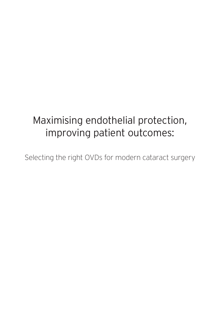# Maximising endothelial protection, improving patient outcomes:

Selecting the right OVDs for modern cataract surgery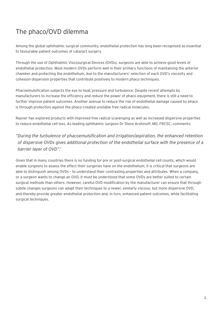## The phaco/OVD dilemma

Among the global ophthalmic surgical community, endothelial protection has long been recognised as essential to favourable patient outcomes of cataract surgery.

Through the use of Ophthalmic Viscosurgical Devices (OVDs), surgeons are able to achieve good levels of endothelial protection. Most modern OVDs perform well in their primary functions of maintaining the anterior chamber and protecting the endothelium, due to the manufacturers' selection of each OVD's viscosity and cohesion-dispersion properties that contribute positively to modern phaco techniques.

Phacoemulsification subjects the eye to heat, pressure and turbulence. Despite recent attempts by manufacturers to increase the efficiency and reduce the power of phaco equipment, there is still a need to further improve patient outcomes. Another avenue to reduce the risk of endothelial damage caused by phaco is through protection against the phaco-created unstable free radical molecules.

Rayner has explored products with improved free radical scavenging as well as increased dispersive properties to reduce endothelial cell loss. As leading ophthalmic surgeon Dr Steve Arshinoff, MD, FRCSC, comments:

*"During the turbulence of phacoemulsification and irrigation/aspiration, the enhanced retention of dispersive OVDs gives additional protection of the endothelial surface with the presence of a barrier layer of OVD".1* 

Given that in many countries there is no funding for pre or post-surgical endothelial cell counts, which would enable surgeons to assess the effect their surgeries have on the endothelium, it is critical that surgeons are able to distinguish among OVDs – to understand their contrasting properties and attributes. When a company, or a surgeon wants to change an OVD, it must be understood that some OVDs are better suited to certain surgical methods than others. However, careful OVD modification by the manufacturer can ensure that through subtle changes surgeons can adapt their techniques to a newer, similarly viscous, but more dispersive OVD, and thereby provide greater endothelial protection and, in turn, enhanced patient outcomes, while facilitating surgical techniques.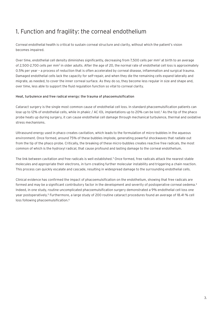### 1. Function and fragility: the corneal endothelium

Corneal endothelial health is critical to sustain corneal structure and clarity, without which the patient's vision becomes impaired.

Over time, endothelial cell density diminishes significantly, decreasing from 7,500 cells per mm<sup>2</sup> at birth to an average of 2,500-2,700 cells per mm<sup>2</sup> in older adults. After the age of 20, the normal rate of endothelial cell loss is approximately 0.5% per year – a process of reduction that is often accelerated by corneal disease, inflammation and surgical trauma. Damaged endothelial cells lack the capacity for self-repair, and when they die the remaining cells expand laterally and migrate, as needed, to cover the inner corneal surface. As they do so, they become less regular in size and shape and, over time, less able to support the fluid regulation function so vital to corneal clarity.

#### Heat, turbulence and free radical energy: the trauma of phacoemulsification

Cataract surgery is the single most common cause of endothelial cell loss. In standard phacoemulsification patients can lose up to 12% of endothelial cells, while in phakic / AC IOL implantations up to 20% can be lost.<sup>2</sup> As the tip of the phaco probe heats up during surgery, it can cause endothelial cell damage through mechanical turbulence, thermal and oxidative stress mechanisms.

Ultrasound energy used in phaco creates cavitation, which leads to the formulation of micro-bubbles in the aqueous environment. Once formed, around 75% of these bubbles implode, generating powerful shockwaves that radiate out from the tip of the phaco probe. Critically, the breaking of these micro-bubbles creates reactive free radicals, the most common of which is the hydroxyl radical, that cause profound and lasting damage to the corneal endothelium.

The link between cavitation and free radicals is well established.<sup>3</sup> Once formed, free radicals attack the nearest stable molecules and appropriate their electrons, in turn creating further molecular instability and triggering a chain reaction. This process can quickly escalate and cascade, resulting in widespread damage to the surrounding endothelial cells.

Clinical evidence has confirmed the impact of phacoemulsification on the endothelium, showing that free radicals are formed and may be a significant contributory factor in the development and severity of postoperative corneal oedema.<sup>4</sup> Indeed, in one study, routine uncomplicated phacoemulsification surgery demonstrated a 9% endothelial cell loss one year postoperatively.<sup>5</sup> Furthermore, a large study of 200 routine cataract procedures found an average of 18.41 % cell loss following phacoemulsification.<sup>6</sup>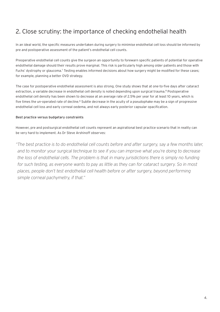### 2. Close scrutiny: the importance of checking endothelial health

In an ideal world, the specific measures undertaken during surgery to minimise endothelial cell loss should be informed by pre and postoperative assessment of the patient's endothelial cell counts.

Preoperative endothelial cell counts give the surgeon an opportunity to forewarn specific patients of potential for operative endothelial damage should their results prove marginal. This risk is particularly high among older patients and those with Fuchs' dystrophy or glaucoma.<sup>7</sup> Testing enables informed decisions about how surgery might be modified for these cases; for example, planning a better OVD strategy.

The case for postoperative endothelial assessment is also strong. One study shows that at one-to-five days after cataract extraction, a variable decrease in endothelial cell density is noted depending upon surgical trauma.<sup>8</sup> Postoperative endothelial cell density has been shown to decrease at an average rate of 2.5% per year for at least 10 years, which is five times the un-operated rate of decline.<sup>8</sup> Subtle decrease in the acuity of a pseudophake may be a sign of progressive endothelial cell loss and early corneal oedema, and not always early posterior capsular opacification.

### Best practice versus budgetary constraints

However, pre and postsurgical endothelial cell counts represent an aspirational best practice scenario that in reality can be very hard to implement. As Dr Steve Arshinoff observes:

*"The best practice is to do endothelial cell counts before and after surgery, say a few months later, and to monitor your surgical technique to see if you can improve what you're doing to decrease the loss of endothelial cells. The problem is that in many jurisdictions there is simply no funding for such testing, as everyone wants to pay as little as they can for cataract surgery. So in most places, people don't test endothelial cell health before or after surgery, beyond performing simple corneal pachymetry, if that."*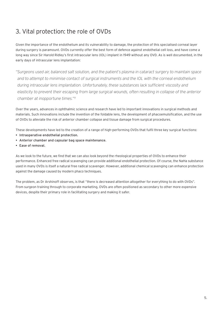### 3. Vital protection: the role of OVDs

Given the importance of the endothelium and its vulnerability to damage, the protection of this specialised corneal layer during surgery is paramount. OVDs currently offer the best form of defence against endothelial cell loss, and have come a long way since Sir Harold Ridley's first intraocular lens (IOL) implant in 1949 without any OVD. As is well documented, in the early days of intraocular lens implantation:

*"Surgeons used air, balanced salt solution, and the patient's plasma in cataract surgery to maintain space and to attempt to minimise contact of surgical instruments and the IOL with the corneal endothelium during intraocular lens implantation. Unfortunately, these substances lack sufficient viscosity and elasticity to prevent their escaping from large surgical wounds, often resulting in collapse of the anterior chamber at inopportune times."9*

Over the years, advances in ophthalmic science and research have led to important innovations in surgical methods and materials. Such innovations include the invention of the foldable lens, the development of phacoemulsification, and the use of OVDs to alleviate the risk of anterior chamber collapse and tissue damage from surgical procedures.

These developments have led to the creation of a range of high-performing OVDs that fulfil three key surgical functions:

- Intraoperative endothelial protection.
- Anterior chamber and capsular bag space maintenance.
- Ease of removal.

As we look to the future, we find that we can also look beyond the rheological properties of OVDs to enhance their performance. Enhanced free radical scavenging can provide additional endothelial protection. Of course, the NaHa substance used in many OVDs is itself a natural free radical scavenger. However, additional chemical scavenging can enhance protection against the damage caused by modern phaco techniques.

The problem, as Dr Arshinoff observes, is that "there is decreased attention altogether for everything to do with OVDs". From surgeon training through to corporate marketing, OVDs are often positioned as secondary to other more expensive devices, despite their primary role in facilitating surgery and making it safer.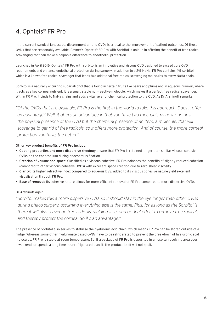### 4. Ophteis® FR Pro

In the current surgical landscape, discernment among OVDs is critical to the improvement of patient outcomes. Of those OVDs that are reasonably available, Rayner's Ophteis® FR Pro with Sorbitol is unique in offering the benefit of free radical scavenging that can make a palpable difference to endothelial protection.

Launched in April 2016, Ophteis® FR Pro with sorbitol is an innovative and viscous OVD designed to exceed core OVD requirements and enhance endothelial protection during surgery. In addition to a 2% NaHa, FR Pro contains 4% sorbitol, which is a known free radical scavenger that lends two additional free radical scavenging molecules to every NaHa chain.

Sorbitol is a naturally occurring sugar alcohol that is found in certain fruits like pears and plums and in aqueous humour, where it acts as a key corneal nutrient. It is a small, stable non-reactive molecule, which makes it a perfect free radical scavenger. Within FR Pro, it binds to NaHa chains and adds a vital layer of chemical protection to the OVD. As Dr Arshinoff remarks:

*"Of the OVDs that are available, FR Pro is the first in the world to take this approach. Does it offer an advantage? Well, it offers an advantage in that you have two mechanisms now – not just*  the physical presence of the OVD but the chemical presence of an item, a molecule, that will *scavenge to get rid of free radicals, so it offers more protection. And of course, the more corneal protection you have, the better."*

#### Other key product benefits of FR Pro include:

- Coating properties and more dispersive rheology ensure that FR Pro is retained longer than similar viscous cohesive OVDs on the endothelium during phacoemulsification.
- Creation of volume and space: Classified as a viscous cohesive, FR Pro balances the benefits of slightly reduced cohesion (compared to other viscous cohesive OVDs) with excellent space creation due to zero-shear viscosity.
- Clarity: Its higher refractive index compared to aqueous BSS, added to its viscous cohesive nature yield excellent visualisation through FR Pro.
- Ease of removal: Its cohesive nature allows for more efficient removal of FR Pro compared to more dispersive OVDs.

### Dr Arshinoff again:

*"Sorbitol makes this a more dispersive OVD, so it should stay in the eye longer than other OVDs during phaco surgery, assuming everything else is the same. Plus, for as long as the Sorbitol is there it will also scavenge free radicals, yielding a second or dual effect to remove free radicals and thereby protect the cornea. So it's an advantage."* 

The presence of Sorbitol also serves to stabilise the hyaluronic acid chain, which means FR Pro can be stored outside of a fridge. Whereas some other hyaluronate based OVDs have to be refrigerated to prevent the breakdown of hyaluronic acid molecules, FR Pro is stable at room temperature. So, if a package of FR Pro is deposited in a hospital receiving area over a weekend, or spends a long time in unrefrigerated transit, the product itself will not spoil.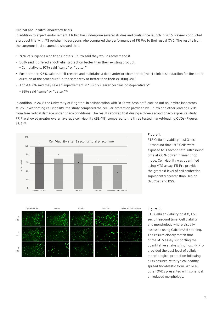#### Clinical and in vitro laboratory trials

In addition to expert endorsement, FR Pro has undergone several studies and trials since launch in 2016. Rayner conducted a product trial with 73 ophthalmic surgeons who compared the performance of FR Pro to their usual OVD. The results from the surgeons that responded showed that:

- 78% of surgeons who tried Ophteis FR Pro said they would recommend it
- 50% said it offered endothelial protection better than their existing product: – Cumulatively, 97% said "same" or "better"
- Furthermore, 96% said that "it creates and maintains a deep anterior chamber to [their] clinical satisfaction for the entire duration of the procedure" in the same way or better than their existing OVD
- And 44.2% said they saw an improvement in "visibly clearer corneas postoperatively"
	- 98% said "same" or "better" 10

In addition, in 2016 the University of Brighton, in collaboration with Dr Steve Arshinoff, carried out an in vitro laboratory study. Investigating cell viability, the study compared the cellular protection provided by FR Pro and other leading OVDs from free radical damage under phaco conditions. The results showed that during a three-second phaco exposure study, FR Pro showed greater overall average cell viability (28.4%) compared to the three tested market-leading OVDs (Figures  $1 \& 2$ ).<sup>11</sup>



#### Figure 1.

3T3 Cellular viability post 3 sec ultrasound time: 3t3 Cells were exposed to 3 second total ultrasound time at 60% power in linier chop mode. Cell viability was quantified using MTS assay. FR Pro provided the greatest level of cell protection significantly greater than Healon, OcuCoat and BSS.



#### Figure 2.

3T3 Cellular viability post 0, 1 & 3 sec ultrasound time: Cell viability and morphology where visually assessed using Calcein-AM staining. The results closely match that of the MTS assay supporting the quantitative analysis findings. FR Pro provided the best level of cellular morphological protection following all exposures, with typical healthy spread fibroblastic form. While all other OVDs presented with spherical or reduced morphology.